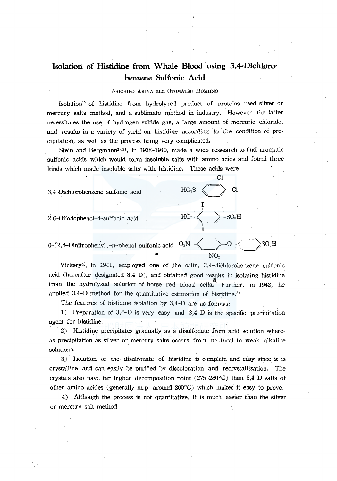# **Isolation of Histidine from Whale Blood using 3,4-Dichlorobenzene Sulfonic Acid**

#### SHICHIRO AKIYA and 0TOMATSU HOSHINO

Isolation<sup>1</sup> of histidine from hydrolyzed product of proteins used silver or mercury salts method, and a sublimate method in industry. However, the latter necessitates the use of hydrogen sulfide gas, a large amount of mercuric chloride, and results in a variety of yield on histidine according to the condition of precipitation, as well as the process being very complicated.

Stein and Bergmann<sup>2</sup>,<sup>3)</sup>, in 1938-1940, made a wide ressearch to find aromatic sulfonic acids which would form insoluble salts with amino acids and found three kinds which made insoluble salts with histidine. These acids were:

> Cl I

> > $\mathrm{SO}_3\mathrm{H}$

I

I

I I

NO<sub>2</sub>

 $3.4$ -Dichlorobenzene sulfonic acid  $HO<sub>3</sub>S$ - $\left\langle \right\rangle$ -Cl

2,6-Diiodophenol-4-sulfonic acid

0-(2,4-Dinitrophenyl)-p-phenol sulfonic acid  $O_2N-\leftarrow$  >-0- $\leftarrow$  >SO<sub>3</sub>H

Vickery<sup>4</sup>), in 1941, employed one of the salts,  $3.4$ -dichlorobenzene sulfonic acid (hereafter designated  $3,4-D$ ), and obtained good results in isolating histidine from the hydrolyzed solution of horse red blood cells. Further, in 1942, he applied  $3,4$ -D method for the quantitative estimation of histidine.<sup>5)</sup>

The features of histidine isolation by 3,4-D are as follows:

1) Preparation of 3,4-D is very easy and 3,4-D is the specific precipitation agent for histidine.

2) Histidine precipitates gradually as a disulfonate from acid solution whereas precipitation as silver or mercury salts occurs from neutural to weak alkaline solutions.

3) Isolation of the disulfonate of histidine is complete and easy since it is crystalline and can easily be purified by discoloration and. recrystallization. The crystals also have far higher decomposition point  $(275-280\degree C)$  than 3,4-D salts of other amino acides (generally m.p. around 200°C) which makes it easy to prove.

4) Although the process is not quantitative, it is much easier than the silver or mercury salt method.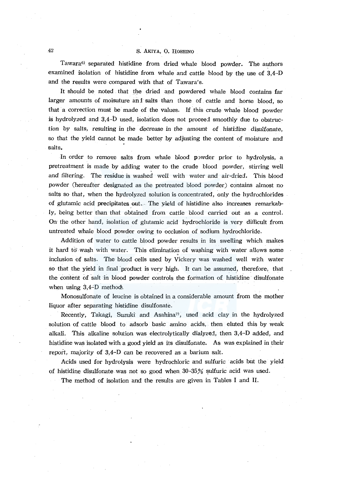# 42 S. AKIYA, 0. HOSHINO

Tawara $6$  separated histidine from dried whale blood powder. The authors examined isolation of histidine from whale and cattle blood by the use of 3,4-D and the results were compared with that of Tawara's.

It should be noted . that the dried and powdered whale blood contains far larger amounts of moisuture and salts than those of cattle and horse blood, so that a correction must be made of the values. If this crude whale blood powder is hydrolyzed and 3,4-D used, isolation does not proceed smoothly due to obstruction by salts, resulting in the decrease in the amount of histidine disulfonate, so that the yield cannot be made better by adjusting the content of moisture and salts.

In order to remove salts from whale blood powder prior to hydrolysis, a pretreatment is made by adding water to the crude blood powder, stirring well and filtering. The residue is washed well with water and air-dried. This blood powder (hereafter designated as the pretreated blood powder) contains almost no salts so that, when the hydrolyzed solution is concentrated, only the hydrochlorides of glutamic acid precipitates out. The yield of histidine also increases remarkably, being better than that obtained from cattle blood carried out as a control. On the other hand, isolation of glutamic acid hydrochloride is very difficult from untreated whale blood powder owing to occlusion of sodium hydrochloride.

Addition of water to cattle blood powder results in its swelling which makes it hard to wash with water. This elimination of washing with water allows some inclusion of salts. The blood cells used by Vickery was washed well with water so that the yield in final product is very high. It can be assumed, therefore, that the content of salt in blood powder controls the formation of histidine disulfonate when using  $3,4$ -D method.

Monosulfonate of leucine is obtained in a considerable amount from the mother liquor after separating histidine disulfonate.

Recently, Takagi, Suzuki and Asahina<sup>7</sup>, used acid clay in the hydrolyzed solution of cattle blood to adsorb basic amino acids, then eluted this by weak alkali. This alkaline solution was electrolytically dialyzej, then 3,4-D added, and histidine was isolated with a good yield as its disulfonate. *As* was explained in their report, majority of 3,4-D can be recovered as a barium salt.

Acids used for hydrolysis were hydrochloric and sulfuric acids but the yield of histidine disulfonate was not so good when  $30-35%$  sulfuric acid was used.

The method of isolation and the results are given in Tables I and II.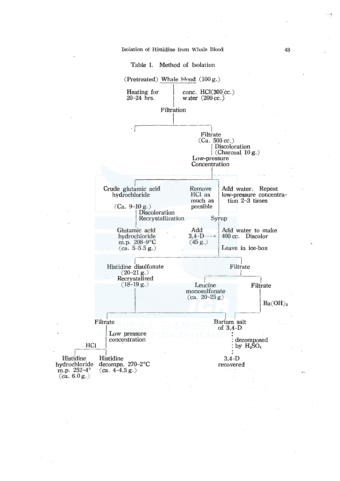

43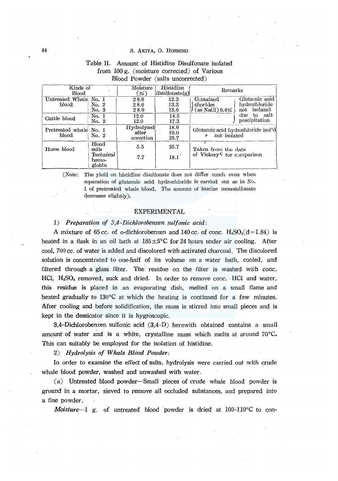#### 44 S. AKIYA, 0. HOSHINO

| Kinds of<br>Blood              |                                      | Histidine<br>Moisture<br>$\left  \text{disulfonate}(g) \right $<br>$(\% )$ |                      | Remarks                                                       |                                                |
|--------------------------------|--------------------------------------|----------------------------------------------------------------------------|----------------------|---------------------------------------------------------------|------------------------------------------------|
| Untreated Whale No. 1<br>blood | No. 2<br>No. 3                       | 28.6<br>28.6<br>28.6                                                       | 12.3<br>13.3<br>13.6 | Contained<br>chorides<br>(as NaCl) 9.4%                       | Glutamic acid<br>hydrochloride<br>not isolated |
| Cattle blood                   | No. 1<br>No. 2                       | 12.0<br>12.0                                                               | 14.5<br>17.3         |                                                               | to salt<br>due<br>precipitation                |
| Pretreated whale<br>blood      | No. 1<br>No. 2                       | Hydrolyzed<br>after<br>corection                                           | 18.6<br>19.0<br>25.7 | Glutamic acid hydrochloride isol'd<br>not isolated            |                                                |
| Horse blood                    | Blood<br>cells<br>Technical<br>hemo- | 5.5<br>7.7                                                                 | 25.7<br>18.1         | Taken from the data<br>of Vickery <sup>4</sup> for comparison |                                                |
|                                | globin                               |                                                                            |                      |                                                               |                                                |

# Table II. Amount of Histidine Disulfonate isolated from 100 g. (moisture corrected) of Various Blood Powder (salts uncorrected)

(Note: The yield on histidine disulfonate does not differ much even when separation of glutamic acid hydrochloride is carried out as in No. I of pretreated whale blood. The amount of leucine monosulfonate decreases slightly).

#### EXPERIMENTAL

# 1) *Preparation of 3,4-Dichlorobenzen sulfonic acid:*

A mixture of 65 cc. of o-dichlorobenzen and 140 cc. of conc.  $H_2SO_4(d=1.84)$  is heated in a flask in an oil bath at  $185 \pm 5^{\circ}$ C for 24 hours under air cooling. After cool, 700 cc. of water is added and discolored with activated charcoal. The discolored solution is concentrated to one-half of its volume on a water bath, cooled, and filtered through a glass filter. The residue on the filter is washed with cone. HCl,  $H_2SO_4$  removed, suck and dried. In order to remove conc. HCl and water, this residue is placed in an evaporating dish, melted on a small flame and heated gradually to  $130^{\circ}$ C at which the heating is continued for a few minutes. After cooling and before solidification, the mass is stirred into small pieces and is kept in the dessicator since it is hygroscopic.

3,4-Dichlorobenzen sulfonic acid (3,4-D) herewith obtained contains a small amount of water and is a white, crystalline mass which melts at around  $70^{\circ}$ C. This can suitably be employed for the isolation of histidine.

2) *Hydrolysis of Whale Blood Powder:* 

In order to examine the effect of salts, hydrolysis were carried out with crude whale blood powder, washed and unwashed with water.

(a) Untreated blood powder-Small pieces of crude whale blood powder is ground in a mortar, sieved to remove all occluded substances, and prepared into a fine powder.

*Moisture-I* g. of untreated blood powder is dried at 100-l10°C to con-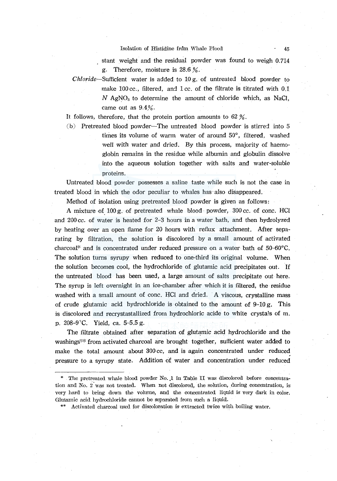#### Isolation of Histidine from Whale Blood 45

stant weight and the residual powder was found to weigh 0.714 g. Therefore, moisture is 28.6 %.

Chloride-Sufficient water is added to 10 g. of untreated blood powder to make 100 cc., filtered, and 1 cc. of the filtrate is titrated with 0.1  $N$  AgNO<sub>3</sub> to determine the amount of chloride which, as NaCl, came out as  $9.4%$ .

It follows, therefore, that the protein portion amounts to  $62\%$ .

 $(b)$  Pretreated blood powder-The untreated blood powder is stirred into  $5$ times its volume of warm water of around 50°, filtered, washed well with water and dried. By this process, majority of haemoglobin remains in the residue while albumin and globulin dissolve into the aqueous solution together with salts and water-soluble proteins.

Untreated blood powder possesses a saline taste while such is not the case in treated blood in which the odor peculiar to whales has-also disappeared.

Method of isolation using pretreated blood powder is given as follows:

A mixture of  $100 g$ , of pretreated whale blood powder,  $300 \text{ cc}$  of conc. HCl and 200 cc. of water is heated for 2-3 hours in a water bath, and then hydrolyzed by heating over an open flame for 20 hours with reflux attachment. After separating by filtration, the solution is discolored by a small amount of activated charcoal\* and is concentrated under reduced pressure on a water bath of 50-60"C. The solution turns syrupy when reduced to one-third its original volume. When the solution becomes cool, the hydrochloride of glutamic acid precipitates out. If the untreated blood has been used, a large amount of salts precipitate out here. The syrup is left overnight in an ice-chamber after which it is filtered, the residue washed with a small amount of conc. HCl and dried. A viscous, crystalline mass of crude glutamic acid hydrochloride is obtained to the amount of  $9-10 g$ . This is discolored and recrystastallized from hydrochloric acide to white crystals of m. p. 208-9 $^{\circ}$ C. Yield, ca. 5-5.5 g.

The filtrate obtained after separation of glutamic acid hydrochloride and the washings"'\* from activated charcoal are brought together, sufficient water added to make the total amount about 300 cc, and is again concentrated under reduced pressure to a syrupy state. Addition of water and concentration under reduced

\* The pretreated whale blood powder No .. 1 in Table 11 was discolored before concentration and No. 2 was not treated. When not discolored, the solution, during concentration, is very hard to bring down the volume, and the concentrated liquid is very dark in color. Glutamic acid hydrochloride cannot be separated from such a liquid.

\*\* Activated charcoal used for discoloration is extracted twice with boiling water.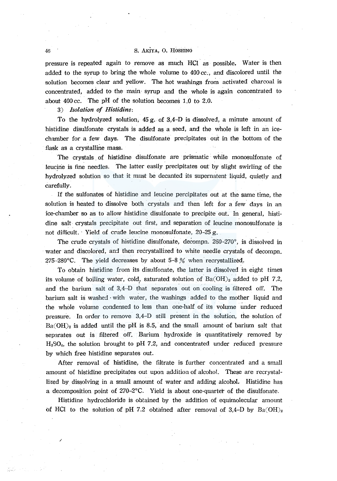# 46 S. AKIYA, O. HOSHINO

pressure is repeated again to remove as much HCI as possible. Water is then added to the syrup to bring the whole volume to *400 cc:,* and discolored until the solution becomes clear and yellow. The hot washings from activated charcoal is concentrated, added to the main· syrup and the whole is again concentrated to about 400 cc. The pH of the solution becomes 1.0 to 2.0.

3) *Isolation of Histidine:* 

To the hydrolyzed solution,  $45 g$  of 3,4-D is dissolved, a minute amount of histidine disulfonate crystals is added as a seed, and the whole is left in an icechamber for a few days. The disulfonate precipitates out in the bottom of the flask as a crystalline mass.

The crystals of histidine disulfonate are prismatic while monosulfonate of leucirie is fine needles. The latter easily precipitates out by slight swirling of the hydrolyzed solution so that it must be decanted its supernatent liquid, quietly and carefully.

If the sulfonates of histidine and leucine percipitates out at the same time, the solution is heated to dissolve both crystals and then left for a few days in an ice-chamber so as to allow histidine disulfonate to precipite out. In general, histidine salt. crystals precipitate out first, and separation of leucine monosulfonate is not difficult. · Yield of crude leucine monosulfonate, 20-25 g.

The crude crystals of histidine disulfonate, decompn.  $260-270^\circ$ , is dissolved in water and discolored, and then recrystallized to white needle crystals of decompn. 275-280°C. The yield decreases by about 5-8  $\%$  when recrystallized.

To obtain histidine from its disulfonate, the latter is dissolved in eight times its volume of boiling water, cold, saturated solution of  $Ba(OH)_2$  added to pH 7.2, and the barium salt of 3;4-D that separates out on cooling is filtered off. The barium salt is washed with water, the washings added to the mother liquid and the whole volume condensed to less than one-half of its volume under reduced pressure. In order to remove 3,4-D still present in the solution, the solution of  $Ba(OH)_2$  is added until the pH is 8.5, and the small amount of barium salt that separates out is filtered off. Barium hydroxide is quantitatively removed by  $H<sub>2</sub>SO<sub>4</sub>$ , the solution brought to pH 7.2, and concentrated under reduced pressure by which free histidine separates out.

After removal of histidine, the filtrate is further concentrated and a small amount of histidine precipitates out upon addition of alcohol. These are recrystallized by dissolving in a small amount of water and adding alcohol. Histidine has a decomposition point of 270-2°C. Yield is about one-quarter of the disulfonate.

Histidine hydrochloride is obtained by the addition of equimolecular amount of HCl to the solution of pH 7.2 obtained after removal of 3,4-D by  $Ba(OH)_2$ 

I